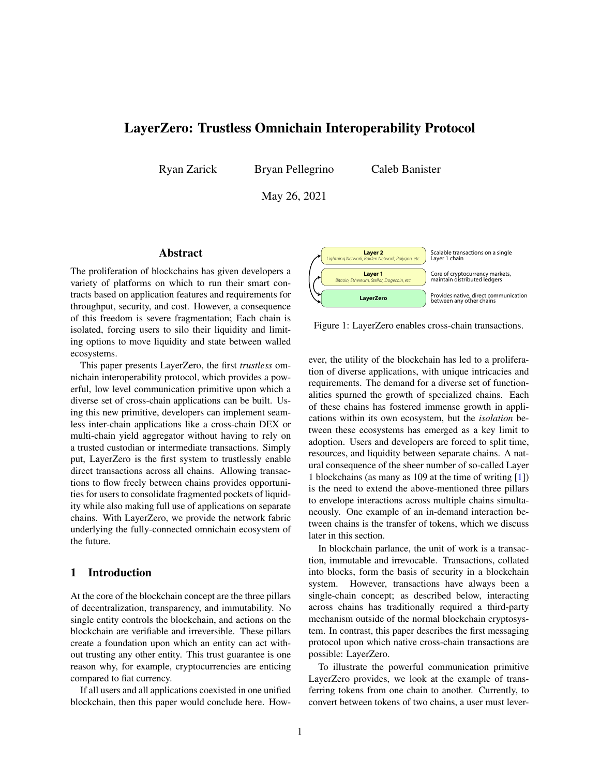# LayerZero: Trustless Omnichain Interoperability Protocol

Ryan Zarick Bryan Pellegrino

Caleb Banister

May 26, 2021

# Abstract

The proliferation of blockchains has given developers a variety of platforms on which to run their smart contracts based on application features and requirements for throughput, security, and cost. However, a consequence of this freedom is severe fragmentation; Each chain is isolated, forcing users to silo their liquidity and limiting options to move liquidity and state between walled ecosystems.

This paper presents LayerZero, the first *trustless* omnichain interoperability protocol, which provides a powerful, low level communication primitive upon which a diverse set of cross-chain applications can be built. Using this new primitive, developers can implement seamless inter-chain applications like a cross-chain DEX or multi-chain yield aggregator without having to rely on a trusted custodian or intermediate transactions. Simply put, LayerZero is the first system to trustlessly enable direct transactions across all chains. Allowing transactions to flow freely between chains provides opportunities for users to consolidate fragmented pockets of liquidity while also making full use of applications on separate chains. With LayerZero, we provide the network fabric underlying the fully-connected omnichain ecosystem of the future.

# <span id="page-0-1"></span>1 Introduction

At the core of the blockchain concept are the three pillars of decentralization, transparency, and immutability. No single entity controls the blockchain, and actions on the blockchain are verifiable and irreversible. These pillars create a foundation upon which an entity can act without trusting any other entity. This trust guarantee is one reason why, for example, cryptocurrencies are enticing compared to fiat currency.

If all users and all applications coexisted in one unified blockchain, then this paper would conclude here. How-



<span id="page-0-0"></span>Figure 1: LayerZero enables cross-chain transactions.

ever, the utility of the blockchain has led to a proliferation of diverse applications, with unique intricacies and requirements. The demand for a diverse set of functionalities spurned the growth of specialized chains. Each of these chains has fostered immense growth in applications within its own ecosystem, but the *isolation* between these ecosystems has emerged as a key limit to adoption. Users and developers are forced to split time, resources, and liquidity between separate chains. A natural consequence of the sheer number of so-called Layer 1 blockchains (as many as 109 at the time of writing [\[1\]](#page-8-0)) is the need to extend the above-mentioned three pillars to envelope interactions across multiple chains simultaneously. One example of an in-demand interaction between chains is the transfer of tokens, which we discuss later in this section.

In blockchain parlance, the unit of work is a transaction, immutable and irrevocable. Transactions, collated into blocks, form the basis of security in a blockchain system. However, transactions have always been a single-chain concept; as described below, interacting across chains has traditionally required a third-party mechanism outside of the normal blockchain cryptosystem. In contrast, this paper describes the first messaging protocol upon which native cross-chain transactions are possible: LayerZero.

To illustrate the powerful communication primitive LayerZero provides, we look at the example of transferring tokens from one chain to another. Currently, to convert between tokens of two chains, a user must lever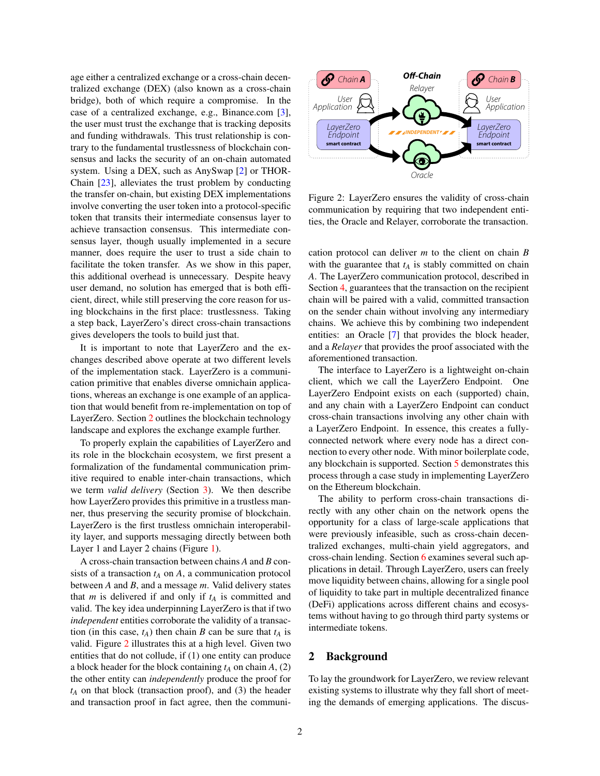age either a centralized exchange or a cross-chain decentralized exchange (DEX) (also known as a cross-chain bridge), both of which require a compromise. In the case of a centralized exchange, e.g., Binance.com [\[3\]](#page-8-1), the user must trust the exchange that is tracking deposits and funding withdrawals. This trust relationship is contrary to the fundamental trustlessness of blockchain consensus and lacks the security of an on-chain automated system. Using a DEX, such as AnySwap [\[2\]](#page-8-2) or THOR-Chain [\[23\]](#page-9-0), alleviates the trust problem by conducting the transfer on-chain, but existing DEX implementations involve converting the user token into a protocol-specific token that transits their intermediate consensus layer to achieve transaction consensus. This intermediate consensus layer, though usually implemented in a secure manner, does require the user to trust a side chain to facilitate the token transfer. As we show in this paper, this additional overhead is unnecessary. Despite heavy user demand, no solution has emerged that is both efficient, direct, while still preserving the core reason for using blockchains in the first place: trustlessness. Taking a step back, LayerZero's direct cross-chain transactions gives developers the tools to build just that.

It is important to note that LayerZero and the exchanges described above operate at two different levels of the implementation stack. LayerZero is a communication primitive that enables diverse omnichain applications, whereas an exchange is one example of an application that would benefit from re-implementation on top of LayerZero. Section [2](#page-1-0) outlines the blockchain technology landscape and explores the exchange example further.

To properly explain the capabilities of LayerZero and its role in the blockchain ecosystem, we first present a formalization of the fundamental communication primitive required to enable inter-chain transactions, which we term *valid delivery* (Section [3\)](#page-4-0). We then describe how LayerZero provides this primitive in a trustless manner, thus preserving the security promise of blockchain. LayerZero is the first trustless omnichain interoperability layer, and supports messaging directly between both Layer 1 and Layer 2 chains (Figure [1\)](#page-0-0).

A cross-chain transaction between chains *A* and *B* consists of a transaction *t<sup>A</sup>* on *A*, a communication protocol between *A* and *B*, and a message *m*. Valid delivery states that *m* is delivered if and only if *t<sup>A</sup>* is committed and valid. The key idea underpinning LayerZero is that if two *independent* entities corroborate the validity of a transaction (in this case,  $t_A$ ) then chain *B* can be sure that  $t_A$  is valid. Figure [2](#page-1-1) illustrates this at a high level. Given two entities that do not collude, if (1) one entity can produce a block header for the block containing  $t_A$  on chain  $A$ , (2) the other entity can *independently* produce the proof for  $t_A$  on that block (transaction proof), and (3) the header and transaction proof in fact agree, then the communi-



<span id="page-1-1"></span>Figure 2: LayerZero ensures the validity of cross-chain communication by requiring that two independent entities, the Oracle and Relayer, corroborate the transaction.

cation protocol can deliver *m* to the client on chain *B* with the guarantee that  $t_A$  is stably committed on chain *A*. The LayerZero communication protocol, described in Section [4,](#page-4-1) guarantees that the transaction on the recipient chain will be paired with a valid, committed transaction on the sender chain without involving any intermediary chains. We achieve this by combining two independent entities: an Oracle [\[7\]](#page-8-3) that provides the block header, and a *Relayer* that provides the proof associated with the aforementioned transaction.

The interface to LayerZero is a lightweight on-chain client, which we call the LayerZero Endpoint. One LayerZero Endpoint exists on each (supported) chain, and any chain with a LayerZero Endpoint can conduct cross-chain transactions involving any other chain with a LayerZero Endpoint. In essence, this creates a fullyconnected network where every node has a direct connection to every other node. With minor boilerplate code, any blockchain is supported. Section [5](#page-7-0) demonstrates this process through a case study in implementing LayerZero on the Ethereum blockchain.

The ability to perform cross-chain transactions directly with any other chain on the network opens the opportunity for a class of large-scale applications that were previously infeasible, such as cross-chain decentralized exchanges, multi-chain yield aggregators, and cross-chain lending. Section [6](#page-7-1) examines several such applications in detail. Through LayerZero, users can freely move liquidity between chains, allowing for a single pool of liquidity to take part in multiple decentralized finance (DeFi) applications across different chains and ecosystems without having to go through third party systems or intermediate tokens.

### <span id="page-1-0"></span>2 Background

To lay the groundwork for LayerZero, we review relevant existing systems to illustrate why they fall short of meeting the demands of emerging applications. The discus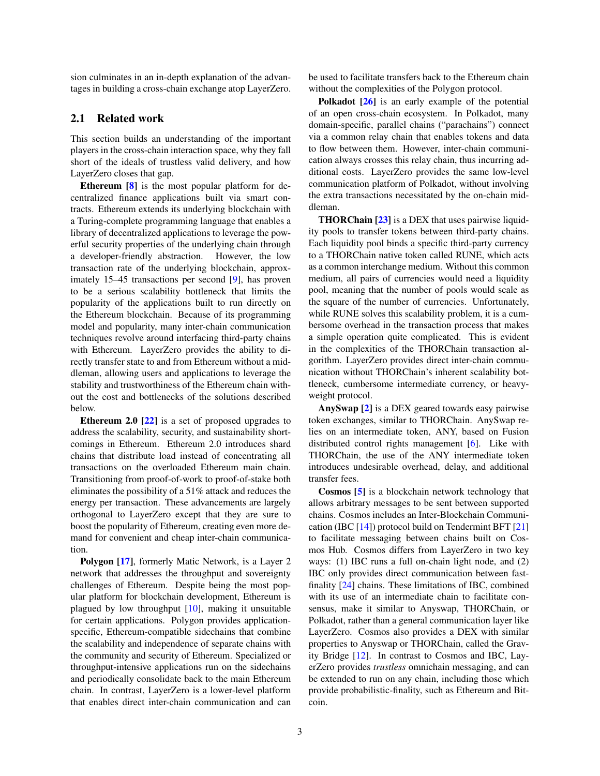sion culminates in an in-depth explanation of the advantages in building a cross-chain exchange atop LayerZero.

### 2.1 Related work

This section builds an understanding of the important players in the cross-chain interaction space, why they fall short of the ideals of trustless valid delivery, and how LayerZero closes that gap.

Ethereum [\[8\]](#page-8-4) is the most popular platform for decentralized finance applications built via smart contracts. Ethereum extends its underlying blockchain with a Turing-complete programming language that enables a library of decentralized applications to leverage the powerful security properties of the underlying chain through a developer-friendly abstraction. However, the low transaction rate of the underlying blockchain, approximately 15–45 transactions per second [\[9\]](#page-8-5), has proven to be a serious scalability bottleneck that limits the popularity of the applications built to run directly on the Ethereum blockchain. Because of its programming model and popularity, many inter-chain communication techniques revolve around interfacing third-party chains with Ethereum. LayerZero provides the ability to directly transfer state to and from Ethereum without a middleman, allowing users and applications to leverage the stability and trustworthiness of the Ethereum chain without the cost and bottlenecks of the solutions described below.

**Ethereum 2.0 [\[22\]](#page-9-1)** is a set of proposed upgrades to address the scalability, security, and sustainability shortcomings in Ethereum. Ethereum 2.0 introduces shard chains that distribute load instead of concentrating all transactions on the overloaded Ethereum main chain. Transitioning from proof-of-work to proof-of-stake both eliminates the possibility of a 51% attack and reduces the energy per transaction. These advancements are largely orthogonal to LayerZero except that they are sure to boost the popularity of Ethereum, creating even more demand for convenient and cheap inter-chain communication.

Polygon [\[17\]](#page-8-6), formerly Matic Network, is a Layer 2 network that addresses the throughput and sovereignty challenges of Ethereum. Despite being the most popular platform for blockchain development, Ethereum is plagued by low throughput [\[10\]](#page-8-7), making it unsuitable for certain applications. Polygon provides applicationspecific, Ethereum-compatible sidechains that combine the scalability and independence of separate chains with the community and security of Ethereum. Specialized or throughput-intensive applications run on the sidechains and periodically consolidate back to the main Ethereum chain. In contrast, LayerZero is a lower-level platform that enables direct inter-chain communication and can be used to facilitate transfers back to the Ethereum chain without the complexities of the Polygon protocol.

Polkadot [\[26\]](#page-9-2) is an early example of the potential of an open cross-chain ecosystem. In Polkadot, many domain-specific, parallel chains ("parachains") connect via a common relay chain that enables tokens and data to flow between them. However, inter-chain communication always crosses this relay chain, thus incurring additional costs. LayerZero provides the same low-level communication platform of Polkadot, without involving the extra transactions necessitated by the on-chain middleman.

**THORChain [\[23\]](#page-9-0)** is a DEX that uses pairwise liquidity pools to transfer tokens between third-party chains. Each liquidity pool binds a specific third-party currency to a THORChain native token called RUNE, which acts as a common interchange medium. Without this common medium, all pairs of currencies would need a liquidity pool, meaning that the number of pools would scale as the square of the number of currencies. Unfortunately, while RUNE solves this scalability problem, it is a cumbersome overhead in the transaction process that makes a simple operation quite complicated. This is evident in the complexities of the THORChain transaction algorithm. LayerZero provides direct inter-chain communication without THORChain's inherent scalability bottleneck, cumbersome intermediate currency, or heavyweight protocol.

AnySwap [\[2\]](#page-8-2) is a DEX geared towards easy pairwise token exchanges, similar to THORChain. AnySwap relies on an intermediate token, ANY, based on Fusion distributed control rights management [\[6\]](#page-8-8). Like with THORChain, the use of the ANY intermediate token introduces undesirable overhead, delay, and additional transfer fees.

Cosmos [\[5\]](#page-8-9) is a blockchain network technology that allows arbitrary messages to be sent between supported chains. Cosmos includes an Inter-Blockchain Communication (IBC  $[14]$ ) protocol build on Tendermint BFT  $[21]$ to facilitate messaging between chains built on Cosmos Hub. Cosmos differs from LayerZero in two key ways: (1) IBC runs a full on-chain light node, and (2) IBC only provides direct communication between fastfinality [\[24\]](#page-9-4) chains. These limitations of IBC, combined with its use of an intermediate chain to facilitate consensus, make it similar to Anyswap, THORChain, or Polkadot, rather than a general communication layer like LayerZero. Cosmos also provides a DEX with similar properties to Anyswap or THORChain, called the Gravity Bridge [\[12\]](#page-8-11). In contrast to Cosmos and IBC, LayerZero provides *trustless* omnichain messaging, and can be extended to run on any chain, including those which provide probabilistic-finality, such as Ethereum and Bitcoin.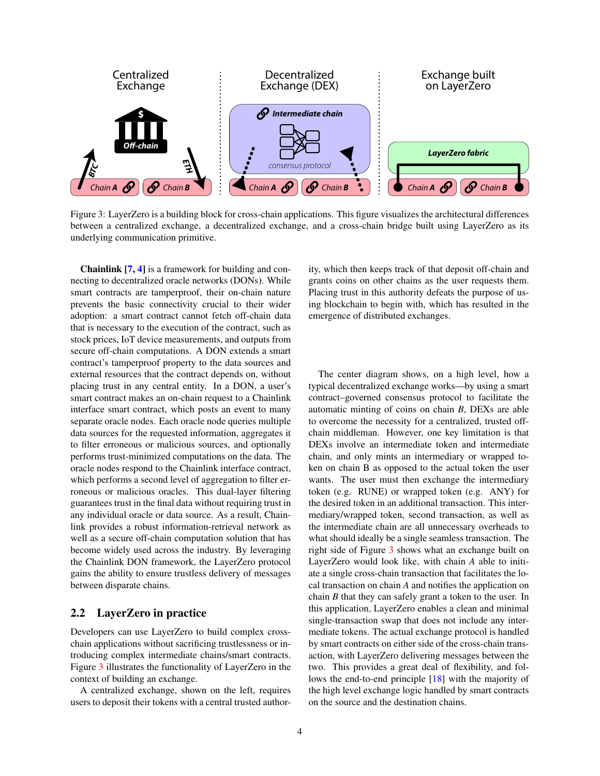

<span id="page-3-0"></span>Figure 3: LayerZero is a building block for cross-chain applications. This figure visualizes the architectural differences between a centralized exchange, a decentralized exchange, and a cross-chain bridge built using LayerZero as its underlying communication primitive.

Chainlink [\[7,](#page-8-3) [4\]](#page-8-12) is a framework for building and connecting to decentralized oracle networks (DONs). While smart contracts are tamperproof, their on-chain nature prevents the basic connectivity crucial to their wider adoption: a smart contract cannot fetch off-chain data that is necessary to the execution of the contract, such as stock prices, IoT device measurements, and outputs from secure off-chain computations. A DON extends a smart contract's tamperproof property to the data sources and external resources that the contract depends on, without placing trust in any central entity. In a DON, a user's smart contract makes an on-chain request to a Chainlink interface smart contract, which posts an event to many separate oracle nodes. Each oracle node queries multiple data sources for the requested information, aggregates it to filter erroneous or malicious sources, and optionally performs trust-minimized computations on the data. The oracle nodes respond to the Chainlink interface contract, which performs a second level of aggregation to filter erroneous or malicious oracles. This dual-layer filtering guarantees trust in the final data without requiring trust in any individual oracle or data source. As a result, Chainlink provides a robust information-retrieval network as well as a secure off-chain computation solution that has become widely used across the industry. By leveraging the Chainlink DON framework, the LayerZero protocol gains the ability to ensure trustless delivery of messages between disparate chains.

#### <span id="page-3-1"></span>2.2 LayerZero in practice

Developers can use LayerZero to build complex crosschain applications without sacrificing trustlessness or introducing complex intermediate chains/smart contracts. Figure [3](#page-3-0) illustrates the functionality of LayerZero in the context of building an exchange.

A centralized exchange, shown on the left, requires users to deposit their tokens with a central trusted authority, which then keeps track of that deposit off-chain and grants coins on other chains as the user requests them. Placing trust in this authority defeats the purpose of using blockchain to begin with, which has resulted in the emergence of distributed exchanges.

The center diagram shows, on a high level, how a typical decentralized exchange works—by using a smart contract–governed consensus protocol to facilitate the automatic minting of coins on chain *B*, DEXs are able to overcome the necessity for a centralized, trusted offchain middleman. However, one key limitation is that DEXs involve an intermediate token and intermediate chain, and only mints an intermediary or wrapped token on chain B as opposed to the actual token the user wants. The user must then exchange the intermediary token (e.g. RUNE) or wrapped token (e.g. ANY) for the desired token in an additional transaction. This intermediary/wrapped token, second transaction, as well as the intermediate chain are all unnecessary overheads to what should ideally be a single seamless transaction. The right side of Figure [3](#page-3-0) shows what an exchange built on LayerZero would look like, with chain *A* able to initiate a single cross-chain transaction that facilitates the local transaction on chain *A* and notifies the application on chain *B* that they can safely grant a token to the user. In this application, LayerZero enables a clean and minimal single-transaction swap that does not include any intermediate tokens. The actual exchange protocol is handled by smart contracts on either side of the cross-chain transaction, with LayerZero delivering messages between the two. This provides a great deal of flexibility, and follows the end-to-end principle [\[18\]](#page-9-5) with the majority of the high level exchange logic handled by smart contracts on the source and the destination chains.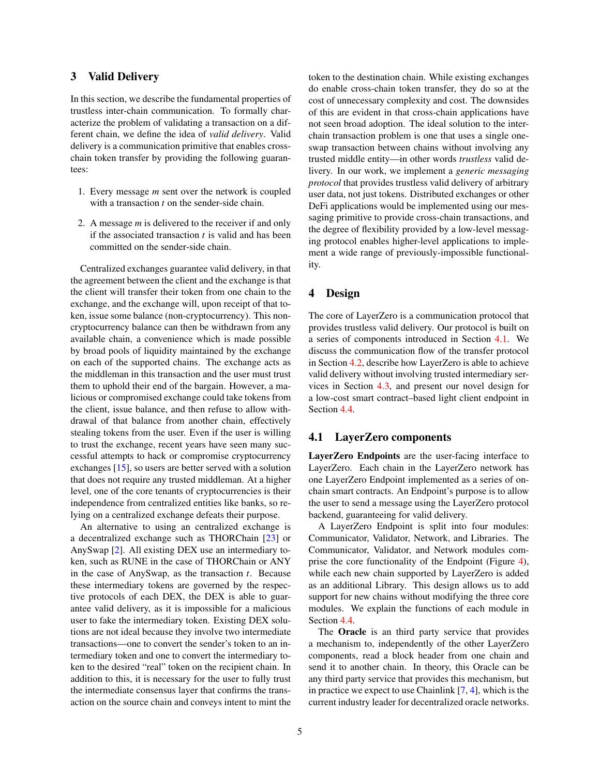### <span id="page-4-0"></span>3 Valid Delivery

In this section, we describe the fundamental properties of trustless inter-chain communication. To formally characterize the problem of validating a transaction on a different chain, we define the idea of *valid delivery*. Valid delivery is a communication primitive that enables crosschain token transfer by providing the following guarantees:

- 1. Every message *m* sent over the network is coupled with a transaction *t* on the sender-side chain.
- 2. A message *m* is delivered to the receiver if and only if the associated transaction *t* is valid and has been committed on the sender-side chain.

Centralized exchanges guarantee valid delivery, in that the agreement between the client and the exchange is that the client will transfer their token from one chain to the exchange, and the exchange will, upon receipt of that token, issue some balance (non-cryptocurrency). This noncryptocurrency balance can then be withdrawn from any available chain, a convenience which is made possible by broad pools of liquidity maintained by the exchange on each of the supported chains. The exchange acts as the middleman in this transaction and the user must trust them to uphold their end of the bargain. However, a malicious or compromised exchange could take tokens from the client, issue balance, and then refuse to allow withdrawal of that balance from another chain, effectively stealing tokens from the user. Even if the user is willing to trust the exchange, recent years have seen many successful attempts to hack or compromise cryptocurrency exchanges [\[15\]](#page-8-13), so users are better served with a solution that does not require any trusted middleman. At a higher level, one of the core tenants of cryptocurrencies is their independence from centralized entities like banks, so relying on a centralized exchange defeats their purpose.

An alternative to using an centralized exchange is a decentralized exchange such as THORChain [\[23\]](#page-9-0) or AnySwap [\[2\]](#page-8-2). All existing DEX use an intermediary token, such as RUNE in the case of THORChain or ANY in the case of AnySwap, as the transaction *t*. Because these intermediary tokens are governed by the respective protocols of each DEX, the DEX is able to guarantee valid delivery, as it is impossible for a malicious user to fake the intermediary token. Existing DEX solutions are not ideal because they involve two intermediate transactions—one to convert the sender's token to an intermediary token and one to convert the intermediary token to the desired "real" token on the recipient chain. In addition to this, it is necessary for the user to fully trust the intermediate consensus layer that confirms the transaction on the source chain and conveys intent to mint the token to the destination chain. While existing exchanges do enable cross-chain token transfer, they do so at the cost of unnecessary complexity and cost. The downsides of this are evident in that cross-chain applications have not seen broad adoption. The ideal solution to the interchain transaction problem is one that uses a single oneswap transaction between chains without involving any trusted middle entity—in other words *trustless* valid delivery. In our work, we implement a *generic messaging protocol* that provides trustless valid delivery of arbitrary user data, not just tokens. Distributed exchanges or other DeFi applications would be implemented using our messaging primitive to provide cross-chain transactions, and the degree of flexibility provided by a low-level messaging protocol enables higher-level applications to implement a wide range of previously-impossible functionality.

### <span id="page-4-1"></span>4 Design

The core of LayerZero is a communication protocol that provides trustless valid delivery. Our protocol is built on a series of components introduced in Section [4.1.](#page-4-2) We discuss the communication flow of the transfer protocol in Section [4.2,](#page-5-0) describe how LayerZero is able to achieve valid delivery without involving trusted intermediary services in Section [4.3,](#page-6-0) and present our novel design for a low-cost smart contract–based light client endpoint in Section [4.4.](#page-6-1)

### <span id="page-4-2"></span>4.1 LayerZero components

LayerZero Endpoints are the user-facing interface to LayerZero. Each chain in the LayerZero network has one LayerZero Endpoint implemented as a series of onchain smart contracts. An Endpoint's purpose is to allow the user to send a message using the LayerZero protocol backend, guaranteeing for valid delivery.

A LayerZero Endpoint is split into four modules: Communicator, Validator, Network, and Libraries. The Communicator, Validator, and Network modules comprise the core functionality of the Endpoint (Figure [4\)](#page-5-1), while each new chain supported by LayerZero is added as an additional Library. This design allows us to add support for new chains without modifying the three core modules. We explain the functions of each module in Section [4.4.](#page-6-1)

The Oracle is an third party service that provides a mechanism to, independently of the other LayerZero components, read a block header from one chain and send it to another chain. In theory, this Oracle can be any third party service that provides this mechanism, but in practice we expect to use Chainlink [\[7,](#page-8-3) [4\]](#page-8-12), which is the current industry leader for decentralized oracle networks.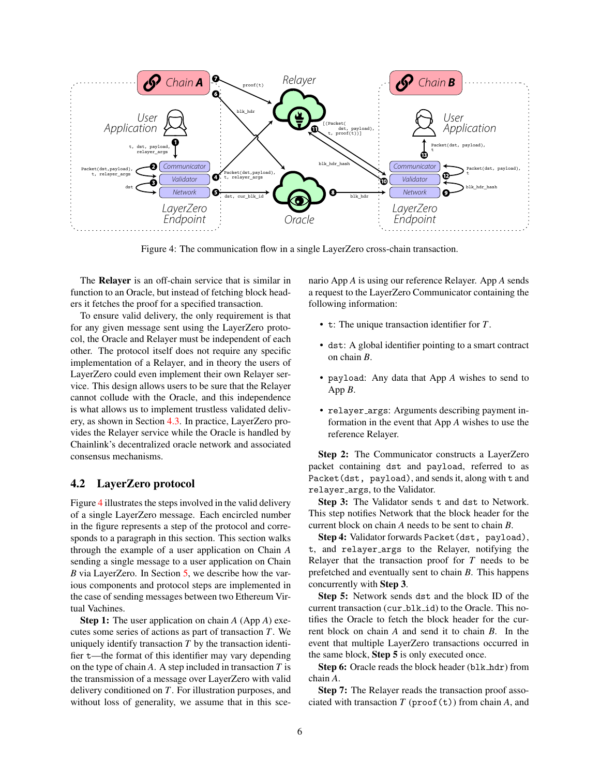

<span id="page-5-1"></span>Figure 4: The communication flow in a single LayerZero cross-chain transaction.

The Relayer is an off-chain service that is similar in function to an Oracle, but instead of fetching block headers it fetches the proof for a specified transaction.

To ensure valid delivery, the only requirement is that for any given message sent using the LayerZero protocol, the Oracle and Relayer must be independent of each other. The protocol itself does not require any specific implementation of a Relayer, and in theory the users of LayerZero could even implement their own Relayer service. This design allows users to be sure that the Relayer cannot collude with the Oracle, and this independence is what allows us to implement trustless validated delivery, as shown in Section [4.3.](#page-6-0) In practice, LayerZero provides the Relayer service while the Oracle is handled by Chainlink's decentralized oracle network and associated consensus mechanisms.

# <span id="page-5-0"></span>4.2 LayerZero protocol

Figure [4](#page-5-1) illustrates the steps involved in the valid delivery of a single LayerZero message. Each encircled number in the figure represents a step of the protocol and corresponds to a paragraph in this section. This section walks through the example of a user application on Chain *A* sending a single message to a user application on Chain *B* via LayerZero. In Section [5,](#page-7-0) we describe how the various components and protocol steps are implemented in the case of sending messages between two Ethereum Virtual Vachines.

Step 1: The user application on chain *A* (App *A*) executes some series of actions as part of transaction *T*. We uniquely identify transaction *T* by the transaction identifier t—the format of this identifier may vary depending on the type of chain *A*. A step included in transaction *T* is the transmission of a message over LayerZero with valid delivery conditioned on *T*. For illustration purposes, and without loss of generality, we assume that in this scenario App *A* is using our reference Relayer. App *A* sends a request to the LayerZero Communicator containing the following information:

- t: The unique transaction identifier for *T*.
- dst: A global identifier pointing to a smart contract on chain *B*.
- payload: Any data that App *A* wishes to send to App *B*.
- relayer\_args: Arguments describing payment information in the event that App *A* wishes to use the reference Relayer.

Step 2: The Communicator constructs a LayerZero packet containing dst and payload, referred to as Packet(dst, payload), and sends it, along with t and relayer args, to the Validator.

Step 3: The Validator sends t and dst to Network. This step notifies Network that the block header for the current block on chain *A* needs to be sent to chain *B*.

Step 4: Validator forwards Packet (dst, payload), t, and relayer args to the Relayer, notifying the Relayer that the transaction proof for *T* needs to be prefetched and eventually sent to chain *B*. This happens concurrently with Step 3.

Step 5: Network sends dst and the block ID of the current transaction (cur\_blk\_id) to the Oracle. This notifies the Oracle to fetch the block header for the current block on chain *A* and send it to chain *B*. In the event that multiple LayerZero transactions occurred in the same block, Step 5 is only executed once.

Step 6: Oracle reads the block header (blk\_hdr) from chain *A*.

Step 7: The Relayer reads the transaction proof associated with transaction  $T$  (proof(t)) from chain  $A$ , and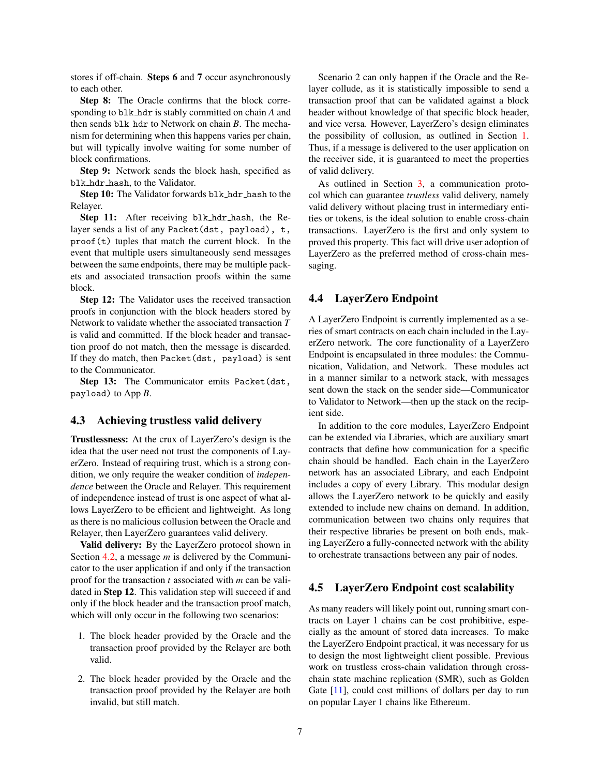stores if off-chain. Steps 6 and 7 occur asynchronously to each other.

Step 8: The Oracle confirms that the block corresponding to blk hdr is stably committed on chain *A* and then sends blk hdr to Network on chain *B*. The mechanism for determining when this happens varies per chain, but will typically involve waiting for some number of block confirmations.

Step 9: Network sends the block hash, specified as blk hdr hash, to the Validator.

Step 10: The Validator forwards blk\_hdr\_hash to the Relayer.

Step 11: After receiving blk\_hdr\_hash, the Relayer sends a list of any Packet(dst, payload), t,  $\text{proof}(t)$  tuples that match the current block. In the event that multiple users simultaneously send messages between the same endpoints, there may be multiple packets and associated transaction proofs within the same block.

Step 12: The Validator uses the received transaction proofs in conjunction with the block headers stored by Network to validate whether the associated transaction *T* is valid and committed. If the block header and transaction proof do not match, then the message is discarded. If they do match, then Packet(dst, payload) is sent to the Communicator.

Step 13: The Communicator emits Packet (dst, payload) to App *B*.

#### <span id="page-6-0"></span>4.3 Achieving trustless valid delivery

Trustlessness: At the crux of LayerZero's design is the idea that the user need not trust the components of LayerZero. Instead of requiring trust, which is a strong condition, we only require the weaker condition of *independence* between the Oracle and Relayer. This requirement of independence instead of trust is one aspect of what allows LayerZero to be efficient and lightweight. As long as there is no malicious collusion between the Oracle and Relayer, then LayerZero guarantees valid delivery.

Valid delivery: By the LayerZero protocol shown in Section [4.2,](#page-5-0) a message *m* is delivered by the Communicator to the user application if and only if the transaction proof for the transaction *t* associated with *m* can be validated in Step 12. This validation step will succeed if and only if the block header and the transaction proof match, which will only occur in the following two scenarios:

- 1. The block header provided by the Oracle and the transaction proof provided by the Relayer are both valid.
- 2. The block header provided by the Oracle and the transaction proof provided by the Relayer are both invalid, but still match.

Scenario 2 can only happen if the Oracle and the Relayer collude, as it is statistically impossible to send a transaction proof that can be validated against a block header without knowledge of that specific block header, and vice versa. However, LayerZero's design eliminates the possibility of collusion, as outlined in Section [1.](#page-0-1) Thus, if a message is delivered to the user application on the receiver side, it is guaranteed to meet the properties of valid delivery.

As outlined in Section [3,](#page-4-0) a communication protocol which can guarantee *trustless* valid delivery, namely valid delivery without placing trust in intermediary entities or tokens, is the ideal solution to enable cross-chain transactions. LayerZero is the first and only system to proved this property. This fact will drive user adoption of LayerZero as the preferred method of cross-chain messaging.

#### <span id="page-6-1"></span>4.4 LayerZero Endpoint

A LayerZero Endpoint is currently implemented as a series of smart contracts on each chain included in the LayerZero network. The core functionality of a LayerZero Endpoint is encapsulated in three modules: the Communication, Validation, and Network. These modules act in a manner similar to a network stack, with messages sent down the stack on the sender side—Communicator to Validator to Network—then up the stack on the recipient side.

In addition to the core modules, LayerZero Endpoint can be extended via Libraries, which are auxiliary smart contracts that define how communication for a specific chain should be handled. Each chain in the LayerZero network has an associated Library, and each Endpoint includes a copy of every Library. This modular design allows the LayerZero network to be quickly and easily extended to include new chains on demand. In addition, communication between two chains only requires that their respective libraries be present on both ends, making LayerZero a fully-connected network with the ability to orchestrate transactions between any pair of nodes.

### 4.5 LayerZero Endpoint cost scalability

As many readers will likely point out, running smart contracts on Layer 1 chains can be cost prohibitive, especially as the amount of stored data increases. To make the LayerZero Endpoint practical, it was necessary for us to design the most lightweight client possible. Previous work on trustless cross-chain validation through crosschain state machine replication (SMR), such as Golden Gate [\[11\]](#page-8-14), could cost millions of dollars per day to run on popular Layer 1 chains like Ethereum.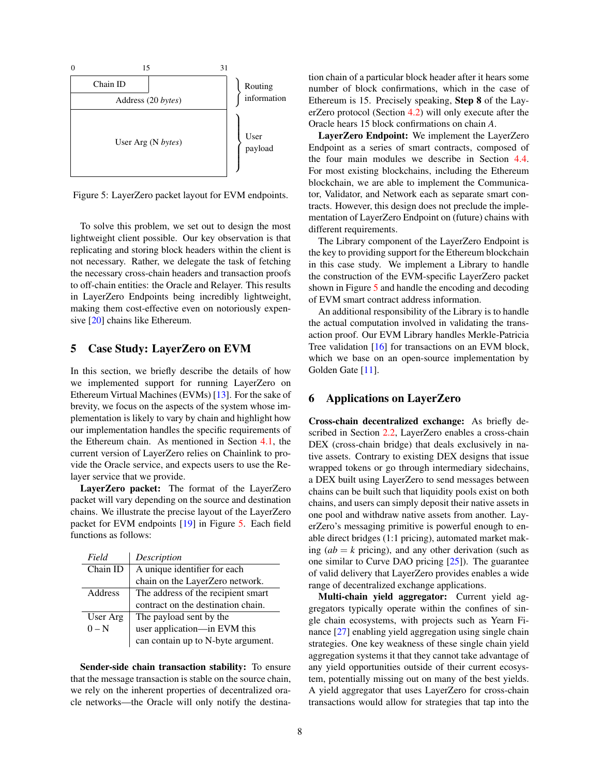

<span id="page-7-2"></span>Figure 5: LayerZero packet layout for EVM endpoints.

To solve this problem, we set out to design the most lightweight client possible. Our key observation is that replicating and storing block headers within the client is not necessary. Rather, we delegate the task of fetching the necessary cross-chain headers and transaction proofs to off-chain entities: the Oracle and Relayer. This results in LayerZero Endpoints being incredibly lightweight, making them cost-effective even on notoriously expensive [\[20\]](#page-9-6) chains like Ethereum.

# <span id="page-7-0"></span>5 Case Study: LayerZero on EVM

In this section, we briefly describe the details of how we implemented support for running LayerZero on Ethereum Virtual Machines (EVMs) [\[13\]](#page-8-15). For the sake of brevity, we focus on the aspects of the system whose implementation is likely to vary by chain and highlight how our implementation handles the specific requirements of the Ethereum chain. As mentioned in Section [4.1,](#page-4-2) the current version of LayerZero relies on Chainlink to provide the Oracle service, and expects users to use the Relayer service that we provide.

LayerZero packet: The format of the LayerZero packet will vary depending on the source and destination chains. We illustrate the precise layout of the LayerZero packet for EVM endpoints [\[19\]](#page-9-7) in Figure [5.](#page-7-2) Each field functions as follows:

| Field    | Description                        |
|----------|------------------------------------|
| Chain ID | A unique identifier for each       |
|          | chain on the LayerZero network.    |
| Address  | The address of the recipient smart |
|          | contract on the destination chain. |
| User Arg | The payload sent by the            |
| $0-N$    | user application—in EVM this       |
|          | can contain up to N-byte argument. |

Sender-side chain transaction stability: To ensure that the message transaction is stable on the source chain, we rely on the inherent properties of decentralized oracle networks—the Oracle will only notify the destination chain of a particular block header after it hears some number of block confirmations, which in the case of Ethereum is 15. Precisely speaking, Step 8 of the LayerZero protocol (Section [4.2\)](#page-5-0) will only execute after the Oracle hears 15 block confirmations on chain *A*.

LayerZero Endpoint: We implement the LayerZero Endpoint as a series of smart contracts, composed of the four main modules we describe in Section [4.4.](#page-6-1) For most existing blockchains, including the Ethereum blockchain, we are able to implement the Communicator, Validator, and Network each as separate smart contracts. However, this design does not preclude the implementation of LayerZero Endpoint on (future) chains with different requirements.

The Library component of the LayerZero Endpoint is the key to providing support for the Ethereum blockchain in this case study. We implement a Library to handle the construction of the EVM-specific LayerZero packet shown in Figure [5](#page-7-2) and handle the encoding and decoding of EVM smart contract address information.

An additional responsibility of the Library is to handle the actual computation involved in validating the transaction proof. Our EVM Library handles Merkle-Patricia Tree validation [\[16\]](#page-8-16) for transactions on an EVM block, which we base on an open-source implementation by Golden Gate [\[11\]](#page-8-14).

# <span id="page-7-1"></span>6 Applications on LayerZero

Cross-chain decentralized exchange: As briefly described in Section [2.2,](#page-3-1) LayerZero enables a cross-chain DEX (cross-chain bridge) that deals exclusively in native assets. Contrary to existing DEX designs that issue wrapped tokens or go through intermediary sidechains, a DEX built using LayerZero to send messages between chains can be built such that liquidity pools exist on both chains, and users can simply deposit their native assets in one pool and withdraw native assets from another. LayerZero's messaging primitive is powerful enough to enable direct bridges (1:1 pricing), automated market making  $(ab = k$  pricing), and any other derivation (such as one similar to Curve DAO pricing [\[25\]](#page-9-8)). The guarantee of valid delivery that LayerZero provides enables a wide range of decentralized exchange applications.

Multi-chain yield aggregator: Current yield aggregators typically operate within the confines of single chain ecosystems, with projects such as Yearn Finance [\[27\]](#page-9-9) enabling yield aggregation using single chain strategies. One key weakness of these single chain yield aggregation systems it that they cannot take advantage of any yield opportunities outside of their current ecosystem, potentially missing out on many of the best yields. A yield aggregator that uses LayerZero for cross-chain transactions would allow for strategies that tap into the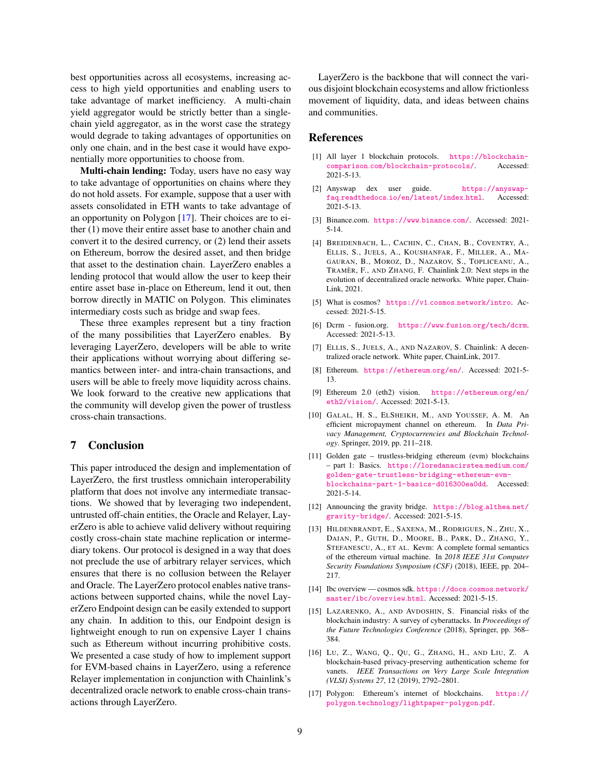best opportunities across all ecosystems, increasing access to high yield opportunities and enabling users to take advantage of market inefficiency. A multi-chain yield aggregator would be strictly better than a singlechain yield aggregator, as in the worst case the strategy would degrade to taking advantages of opportunities on only one chain, and in the best case it would have exponentially more opportunities to choose from.

Multi-chain lending: Today, users have no easy way to take advantage of opportunities on chains where they do not hold assets. For example, suppose that a user with assets consolidated in ETH wants to take advantage of an opportunity on Polygon [\[17\]](#page-8-6). Their choices are to either (1) move their entire asset base to another chain and convert it to the desired currency, or (2) lend their assets on Ethereum, borrow the desired asset, and then bridge that asset to the destination chain. LayerZero enables a lending protocol that would allow the user to keep their entire asset base in-place on Ethereum, lend it out, then borrow directly in MATIC on Polygon. This eliminates intermediary costs such as bridge and swap fees.

These three examples represent but a tiny fraction of the many possibilities that LayerZero enables. By leveraging LayerZero, developers will be able to write their applications without worrying about differing semantics between inter- and intra-chain transactions, and users will be able to freely move liquidity across chains. We look forward to the creative new applications that the community will develop given the power of trustless cross-chain transactions.

### 7 Conclusion

This paper introduced the design and implementation of LayerZero, the first trustless omnichain interoperability platform that does not involve any intermediate transactions. We showed that by leveraging two independent, untrusted off-chain entities, the Oracle and Relayer, LayerZero is able to achieve valid delivery without requiring costly cross-chain state machine replication or intermediary tokens. Our protocol is designed in a way that does not preclude the use of arbitrary relayer services, which ensures that there is no collusion between the Relayer and Oracle. The LayerZero protocol enables native transactions between supported chains, while the novel LayerZero Endpoint design can be easily extended to support any chain. In addition to this, our Endpoint design is lightweight enough to run on expensive Layer 1 chains such as Ethereum without incurring prohibitive costs. We presented a case study of how to implement support for EVM-based chains in LayerZero, using a reference Relayer implementation in conjunction with Chainlink's decentralized oracle network to enable cross-chain transactions through LayerZero.

LayerZero is the backbone that will connect the various disjoint blockchain ecosystems and allow frictionless movement of liquidity, data, and ideas between chains and communities.

#### References

- <span id="page-8-0"></span>[1] All layer 1 blockchain protocols. [https://blockchain](https://blockchain-comparison.com/blockchain-protocols/)comparison.[com/blockchain-protocols/](https://blockchain-comparison.com/blockchain-protocols/). Accessed: 2021-5-13.
- <span id="page-8-2"></span>[2] Anyswap dex user guide. [https://anyswap](https://anyswap-faq.readthedocs.io/en/latest/index.html)faq.readthedocs.[io/en/latest/index](https://anyswap-faq.readthedocs.io/en/latest/index.html).html. Accessed: 2021-5-13.
- <span id="page-8-1"></span>[3] Binance.com. [https://www](https://www.binance.com/).binance.com/. Accessed: 2021- 5-14.
- <span id="page-8-12"></span>[4] BREIDENBACH, L., CACHIN, C., CHAN, B., COVENTRY, A., ELLIS, S., JUELS, A., KOUSHANFAR, F., MILLER, A., MA-GAURAN, B., MOROZ, D., NAZAROV, S., TOPLICEANU, A., TRAMÈR, F., AND ZHANG, F. Chainlink 2.0: Next steps in the evolution of decentralized oracle networks. White paper, Chain-Link, 2021.
- <span id="page-8-9"></span>[5] What is cosmos? https://v1.cosmos.[network/intro](https://v1.cosmos.network/intro). Accessed: 2021-5-15.
- <span id="page-8-8"></span>[6] Dcrm - fusion.org. https://www.fusion.[org/tech/dcrm](https://www.fusion.org/tech/dcrm). Accessed: 2021-5-13.
- <span id="page-8-3"></span>[7] ELLIS, S., JUELS, A., AND NAZAROV, S. Chainlink: A decentralized oracle network. White paper, ChainLink, 2017.
- <span id="page-8-4"></span>[8] Ethereum. [https://ethereum](https://ethereum.org/en/).org/en/. Accessed: 2021-5- 13.
- <span id="page-8-5"></span>[9] Ethereum 2.0 (eth2) vision. [https://ethereum](https://ethereum.org/en/eth2/vision/).org/en/ [eth2/vision/](https://ethereum.org/en/eth2/vision/). Accessed: 2021-5-13.
- <span id="page-8-7"></span>[10] GALAL, H. S., ELSHEIKH, M., AND YOUSSEF, A. M. An efficient micropayment channel on ethereum. In *Data Privacy Management, Cryptocurrencies and Blockchain Technology*. Springer, 2019, pp. 211–218.
- <span id="page-8-14"></span>[11] Golden gate – trustless-bridging ethereum (evm) blockchains – part 1: Basics. [https://loredanacirstea](https://loredanacirstea.medium.com/golden-gate-trustless-bridging-ethereum-evm-blockchains-part-1-basics-d016300ea0dd).medium.com/ [golden-gate-trustless-bridging-ethereum-evm](https://loredanacirstea.medium.com/golden-gate-trustless-bridging-ethereum-evm-blockchains-part-1-basics-d016300ea0dd)[blockchains-part-1-basics-d016300ea0dd](https://loredanacirstea.medium.com/golden-gate-trustless-bridging-ethereum-evm-blockchains-part-1-basics-d016300ea0dd). Accessed: 2021-5-14.
- <span id="page-8-11"></span>[12] Announcing the gravity bridge. [https://blog](https://blog.althea.net/gravity-bridge/).althea.net/ [gravity-bridge/](https://blog.althea.net/gravity-bridge/). Accessed: 2021-5-15.
- <span id="page-8-15"></span>[13] HILDENBRANDT, E., SAXENA, M., RODRIGUES, N., ZHU, X., DAIAN, P., GUTH, D., MOORE, B., PARK, D., ZHANG, Y., STEFANESCU, A., ET AL. Kevm: A complete formal semantics of the ethereum virtual machine. In *2018 IEEE 31st Computer Security Foundations Symposium (CSF)* (2018), IEEE, pp. 204– 217.
- <span id="page-8-10"></span>[14] Ibc overview — cosmos sdk. [https://docs](https://docs.cosmos.network/master/ibc/overview.html).cosmos.network/ [master/ibc/overview](https://docs.cosmos.network/master/ibc/overview.html).html. Accessed: 2021-5-15.
- <span id="page-8-13"></span>[15] LAZARENKO, A., AND AVDOSHIN, S. Financial risks of the blockchain industry: A survey of cyberattacks. In *Proceedings of the Future Technologies Conference* (2018), Springer, pp. 368– 384.
- <span id="page-8-16"></span>[16] LU, Z., WANG, Q., QU, G., ZHANG, H., AND LIU, Z. A blockchain-based privacy-preserving authentication scheme for vanets. *IEEE Transactions on Very Large Scale Integration (VLSI) Systems 27*, 12 (2019), 2792–2801.
- <span id="page-8-6"></span>[17] Polygon: Ethereum's internet of blockchains. [https://](https://polygon.technology/lightpaper-polygon.pdf) polygon.[technology/lightpaper-polygon](https://polygon.technology/lightpaper-polygon.pdf).pdf.